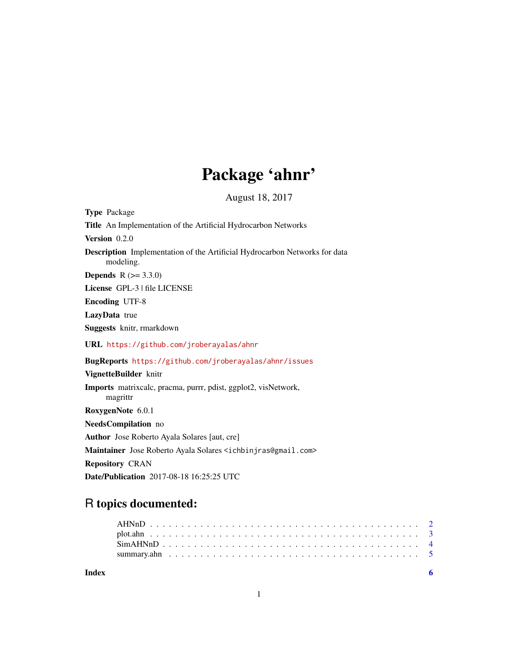# Package 'ahnr'

August 18, 2017

| <b>Type Package</b>                                                                     |
|-----------------------------------------------------------------------------------------|
| Title An Implementation of the Artificial Hydrocarbon Networks                          |
| Version 0.2.0                                                                           |
| Description Implementation of the Artificial Hydrocarbon Networks for data<br>modeling. |
| <b>Depends</b> $R (= 3.3.0)$                                                            |
| License GPL-3   file LICENSE                                                            |
| <b>Encoding UTF-8</b>                                                                   |
| LazyData true                                                                           |
| Suggests knitr, rmarkdown                                                               |
| URL https://github.com/jroberayalas/ahnr                                                |
| BugReports https://github.com/jroberayalas/ahnr/issues                                  |
| VignetteBuilder knitr                                                                   |
| Imports matrixcalc, pracma, purrr, pdist, ggplot2, visNetwork,<br>magrittr              |
| RoxygenNote 6.0.1                                                                       |
| NeedsCompilation no                                                                     |
| <b>Author</b> Jose Roberto Ayala Solares [aut, cre]                                     |
| Maintainer Jose Roberto Ayala Solares <ichbinjras@gmail.com></ichbinjras@gmail.com>     |
| <b>Repository CRAN</b>                                                                  |
| Date/Publication 2017-08-18 16:25:25 UTC                                                |

# R topics documented:

1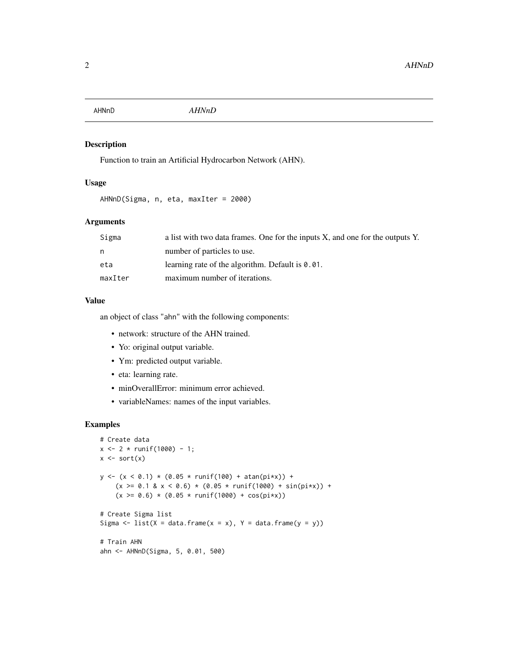<span id="page-1-1"></span><span id="page-1-0"></span>

# Description

Function to train an Artificial Hydrocarbon Network (AHN).

#### Usage

```
AHNnD(Sigma, n, eta, maxIter = 2000)
```
# Arguments

| Sigma   | a list with two data frames. One for the inputs X, and one for the outputs Y. |
|---------|-------------------------------------------------------------------------------|
| n       | number of particles to use.                                                   |
| eta     | learning rate of the algorithm. Default is $0.01$ .                           |
| maxIter | maximum number of iterations.                                                 |

#### Value

an object of class "ahn" with the following components:

- network: structure of the AHN trained.
- Yo: original output variable.
- Ym: predicted output variable.
- eta: learning rate.
- minOverallError: minimum error achieved.
- variableNames: names of the input variables.

```
# Create data
x \le -2 * \text{runif}(1000) - 1;x \leftarrow sort(x)y \leftarrow (x \leftarrow 0.1) * (0.05 * runif(100) + atan(pix)) +(x \ge 0.1 \& x < 0.6) \times (0.05 \times \text{runif}(1000) + \sin(\text{pix})) +(x \ge 0.6) * (0.05 * runif(1000) + cos(pix))# Create Sigma list
Sigma \le list(X = data.frame(x = x), Y = data.frame(y = y))
# Train AHN
ahn <- AHNnD(Sigma, 5, 0.01, 500)
```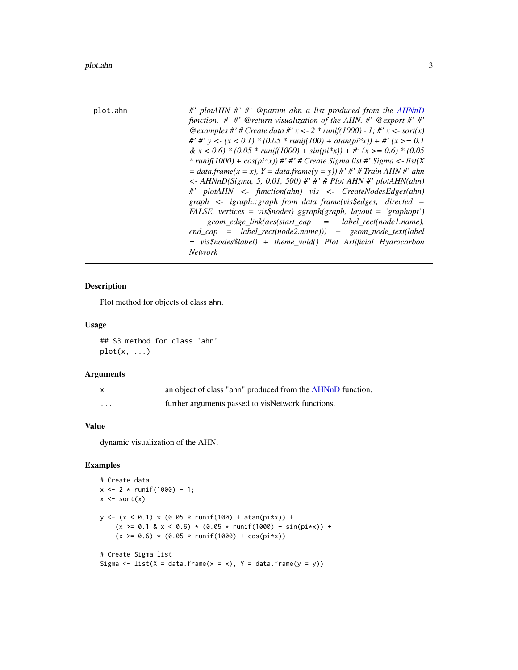<span id="page-2-0"></span>

| plot.ahn | #' plotAHN #' #' @param ahn a list produced from the AHNnD<br>function. $\#$ $\#$ @ return visualization of the AHN. $\#$ @ export $\#$ $\#$ '<br>@examples #' # Create data #' x < - 2 * runif(1000) - 1; #' x < - sort(x)<br>#' #' y <- $(x < 0.1)$ * $(0.05$ * runif(100) + atan(pi*x)) + #' $(x > = 0.1)$<br>& $x < 0.6$ * (0.05 * runif(1000) + sin(pi*x)) + #' (x > = 0.6) * (0.05<br>* runif(1000) + $cos(p_i^*x)$ ) #' #' # Create Sigma list #' Sigma <- list(X)<br>$= data, frame(x = x), Y = data, frame(y = y))$ #' #' # Train AHN #' ahn<br>$\langle$ - AHNnD(Sigma, 5, 0.01, 500) #' #' # Plot AHN #' plotAHN(ahn)<br>#' plotAHN <- function(ahn) vis <- CreateNodesEdges(ahn)<br>$graph \leq$ igraph::graph_from_data_frame(vis\$edges, directed =<br>FALSE, vertices = vis\$nodes) ggraph(graph, layout = 'graphopt')<br>$geom\_edge\_link(aes(start\_cap = label\_rect(node1.name),$<br>$+$ $-$<br>$end\_cap$ = label_rect(node2.name))) + geom_node_text(label<br>$= vis\$ nodes\label) + theme_void() Plot Artificial Hydrocarbon |
|----------|------------------------------------------------------------------------------------------------------------------------------------------------------------------------------------------------------------------------------------------------------------------------------------------------------------------------------------------------------------------------------------------------------------------------------------------------------------------------------------------------------------------------------------------------------------------------------------------------------------------------------------------------------------------------------------------------------------------------------------------------------------------------------------------------------------------------------------------------------------------------------------------------------------------------------------------------------------------------------------------------------------------------------------------------------|
|          | <b>Network</b>                                                                                                                                                                                                                                                                                                                                                                                                                                                                                                                                                                                                                                                                                                                                                                                                                                                                                                                                                                                                                                       |

# Description

Plot method for objects of class ahn.

# Usage

## S3 method for class 'ahn' plot(x, ...)

# Arguments

| X        | an object of class "ahn" produced from the AHNnD function. |
|----------|------------------------------------------------------------|
| $\cdots$ | further arguments passed to visNetwork functions.          |

#### Value

dynamic visualization of the AHN.

```
# Create data
x \le -2 * \text{runif}(1000) - 1;x \leftarrow sort(x)y \le -(x \le 0.1) * (0.05 * runif(100) + atan(pix)) +(x \ge 0.1 \& x < 0.6) \times (0.05 \times \text{runif}(1000) + \sin(\text{pix})) +(x \ge 0.6) * (0.05 * runif(1000) + cos(pix))# Create Sigma list
Sigma \le list(X = data.frame(x = x), Y = data.frame(y = y))
```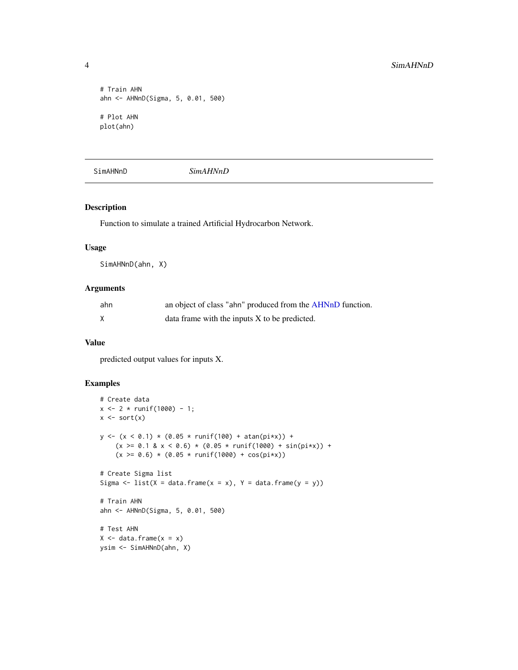```
# Train AHN
ahn <- AHNnD(Sigma, 5, 0.01, 500)
# Plot AHN
plot(ahn)
```
SimAHNnD *SimAHNnD*

#### Description

Function to simulate a trained Artificial Hydrocarbon Network.

#### Usage

SimAHNnD(ahn, X)

# Arguments

| ahn | an object of class "ahn" produced from the AHNnD function. |
|-----|------------------------------------------------------------|
|     | data frame with the inputs X to be predicted.              |

#### Value

predicted output values for inputs X.

```
# Create data
x \le -2 \times \text{runif}(1000) - 1;x \leftarrow sort(x)y \leftarrow (x \leftarrow 0.1) * (0.05 * runif(100) + atan(pix)) +(x \ge 0.1 \& x < 0.6) \times (0.05 \times \text{runif}(1000) + \sin(\text{pix})) +(x \ge 0.6) * (0.05 * runif(1000) + cos(pix))# Create Sigma list
Sigma \le list(X = data.frame(x = x), Y = data.frame(y = y))
# Train AHN
ahn <- AHNnD(Sigma, 5, 0.01, 500)
# Test AHN
X \le - data.frame(x = x)ysim <- SimAHNnD(ahn, X)
```
<span id="page-3-0"></span>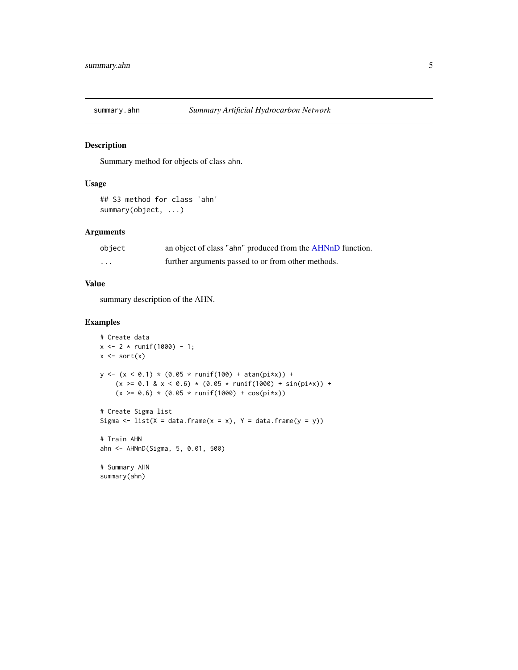<span id="page-4-0"></span>

# Description

Summary method for objects of class ahn.

# Usage

```
## S3 method for class 'ahn'
summary(object, ...)
```
### Arguments

| object   | an object of class "ahn" produced from the AHNnD function. |
|----------|------------------------------------------------------------|
| $\cdots$ | further arguments passed to or from other methods.         |

# Value

summary description of the AHN.

```
# Create data
x \le -2 * \text{runif}(1000) - 1;x \leftarrow sort(x)y \le -(x \le 0.1) * (0.05 * runif(100) + atan(pix)) +(x \ge 0.1 \& x < 0.6) \times (0.05 \times \text{runif}(1000) + \sin(\text{pix})) +(x \ge 0.6) * (0.05 * runif(1000) + cos(pix))# Create Sigma list
Sigma \le list(X = data.frame(x = x), Y = data.frame(y = y))
# Train AHN
ahn <- AHNnD(Sigma, 5, 0.01, 500)
# Summary AHN
summary(ahn)
```